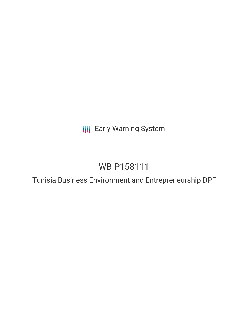**III** Early Warning System

# WB-P158111

Tunisia Business Environment and Entrepreneurship DPF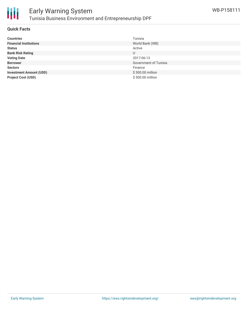

#### **Quick Facts**

| <b>Countries</b>               | Tunisia               |
|--------------------------------|-----------------------|
| <b>Financial Institutions</b>  | World Bank (WB)       |
| <b>Status</b>                  | Active                |
| <b>Bank Risk Rating</b>        | U                     |
| <b>Voting Date</b>             | 2017-06-13            |
| <b>Borrower</b>                | Government of Tunisia |
| <b>Sectors</b>                 | Finance               |
| <b>Investment Amount (USD)</b> | \$500.00 million      |
| <b>Project Cost (USD)</b>      | \$500.00 million      |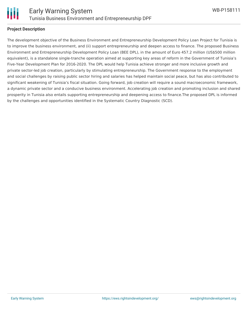

#### **Project Description**

The development objective of the Business Environment and Entrepreneurship Development Policy Loan Project for Tunisia is to improve the business environment, and (ii) support entrepreneurship and deepen access to finance. The proposed Business Environment and Entrepreneurship Development Policy Loan (BEE DPL), in the amount of Euro 457.2 million (US\$500 million equivalent), is a standalone single-tranche operation aimed at supporting key areas of reform in the Government of Tunisia's Five-Year Development Plan for 2016-2020. The DPL would help Tunisia achieve stronger and more inclusive growth and private sector-led job creation, particularly by stimulating entrepreneurship. The Government response to the employment and social challenges by raising public sector hiring and salaries has helped maintain social peace, but has also contributed to significant weakening of Tunisia's fiscal situation. Going forward, job creation will require a sound macroeconomic framework, a dynamic private sector and a conducive business environment. Accelerating job creation and promoting inclusion and shared prosperity in Tunisia also entails supporting entrepreneurship and deepening access to finance.The proposed DPL is informed by the challenges and opportunities identified in the Systematic Country Diagnostic (SCD).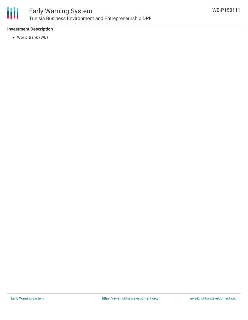

### Early Warning System Tunisia Business Environment and Entrepreneurship DPF

#### **Investment Description**

World Bank (WB)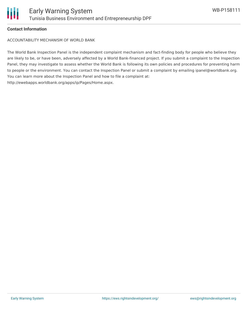

#### **Contact Information**

ACCOUNTABILITY MECHANISM OF WORLD BANK

The World Bank Inspection Panel is the independent complaint mechanism and fact-finding body for people who believe they are likely to be, or have been, adversely affected by a World Bank-financed project. If you submit a complaint to the Inspection Panel, they may investigate to assess whether the World Bank is following its own policies and procedures for preventing harm to people or the environment. You can contact the Inspection Panel or submit a complaint by emailing ipanel@worldbank.org. You can learn more about the Inspection Panel and how to file a complaint at: http://ewebapps.worldbank.org/apps/ip/Pages/Home.aspx.